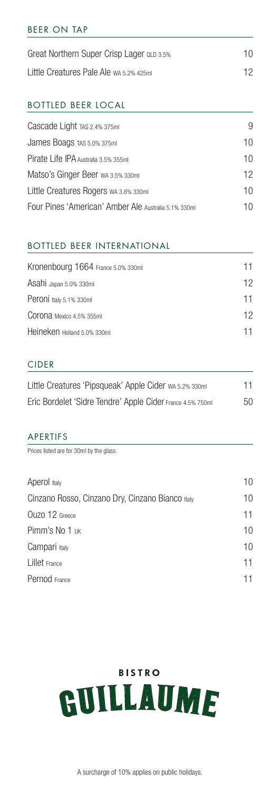### BEER ON TAP

| Great Northern Super Crisp Lager QLD 3.5% | 10 |
|-------------------------------------------|----|
| Little Creatures Pale Ale wa 5.2% 425ml   | 12 |

#### BOTTLED BEER LOCAL

| 10 |
|----|
| 10 |
| 12 |
| 10 |
| 10 |
|    |

# BOTTLED BEER INTERNATIONAL

| Kronenbourg 1664 France 5.0% 330ml | 11 |
|------------------------------------|----|
| Asahi Japan 5.0% 330ml             | 12 |
| Peroni Italy 5.1% 330ml            | 11 |
| Corona Mexico 4.5% 355ml           | 12 |
| Heineken Holland 5.0% 330ml        | 11 |
|                                    |    |

## CIDER

| Little Creatures 'Pipsqueak' Apple Cider wa 5.2% 330ml     | 11 |
|------------------------------------------------------------|----|
| Eric Bordelet 'Sidre Tendre' Apple Cider France 4.5% 750ml | 50 |

#### APERTIFS

Prices listed are for 30ml by the glass

| Aperol Italy                                     | 10 |
|--------------------------------------------------|----|
| Cinzano Rosso, Cinzano Dry, Cinzano Bianco Italy | 10 |
| Ouzo 12 Greece                                   | 11 |
| Pimm's No 1 UK                                   | 10 |
| Campari Italy                                    | 10 |
| Lillet France                                    | 11 |
| Pernod France                                    | 11 |
|                                                  |    |

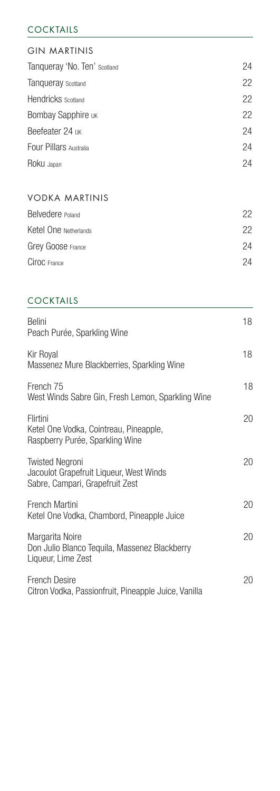## COCKTAILS

# GIN MARTINIS Tanqueray 'No. Ten' Scotland 24 Tanqueray Scotland 22 Hendricks Scotland 22 Bombay Sapphire UK 22 Beefeater 24 UK 24 Four Pillars Australia 24 Roku Japan 24

# VODKA MARTINIS

| Belvedere Poland      | 22 |
|-----------------------|----|
| Ketel One Netherlands | 22 |
| Grey Goose France     | 24 |
| Ciroc France          | 24 |
|                       |    |

# COCKTAILS

| <b>Belini</b><br>Peach Purée, Sparkling Wine                                                         | 18 |
|------------------------------------------------------------------------------------------------------|----|
| Kir Royal<br>Massenez Mure Blackberries, Sparkling Wine                                              | 18 |
| French 75<br>West Winds Sabre Gin, Fresh Lemon, Sparkling Wine                                       | 18 |
| Flirtini<br>Ketel One Vodka, Cointreau, Pineapple,<br>Raspberry Purée, Sparkling Wine                | 20 |
| <b>Twisted Negroni</b><br>Jacoulot Grapefruit Liqueur, West Winds<br>Sabre, Campari, Grapefruit Zest | 20 |
| French Martini<br>Ketel One Vodka, Chambord, Pineapple Juice                                         | 20 |
| Margarita Noire<br>Don Julio Blanco Tequila, Massenez Blackberry<br>Liqueur, Lime Zest               | 20 |
| French Desire<br>Citron Vodka, Passionfruit, Pineapple Juice, Vanilla                                | 20 |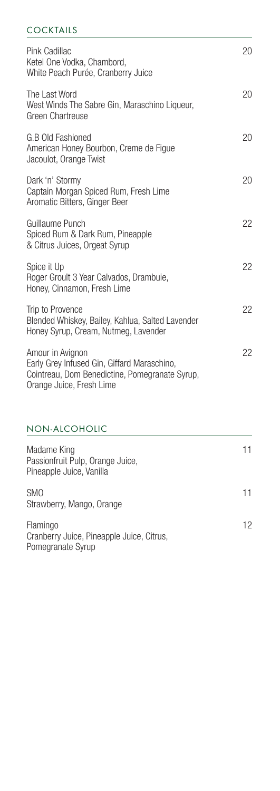### COCKTAILS

| Pink Cadillac<br>Ketel One Vodka, Chambord,<br>White Peach Purée, Cranberry Juice                                                             | 20 |
|-----------------------------------------------------------------------------------------------------------------------------------------------|----|
| The Last Word<br>West Winds The Sabre Gin, Maraschino Liqueur,<br>Green Chartreuse                                                            | 20 |
| G.B Old Fashioned<br>American Honey Bourbon, Creme de Figue<br>Jacoulot, Orange Twist                                                         | 20 |
| Dark 'n' Stormy<br>Captain Morgan Spiced Rum, Fresh Lime<br>Aromatic Bitters, Ginger Beer                                                     | 20 |
| Guillaume Punch<br>Spiced Rum & Dark Rum, Pineapple<br>& Citrus Juices, Orgeat Syrup                                                          | 22 |
| Spice it Up<br>Roger Groult 3 Year Calvados, Drambuie,<br>Honey, Cinnamon, Fresh Lime                                                         | 22 |
| Trip to Provence<br>Blended Whiskey, Bailey, Kahlua, Salted Lavender<br>Honey Syrup, Cream, Nutmeg, Lavender                                  | 22 |
| Amour in Avignon<br>Early Grey Infused Gin, Giffard Maraschino,<br>Cointreau, Dom Benedictine, Pomegranate Syrup,<br>Orange Juice, Fresh Lime | 22 |

# NON-ALCOHOLIC

| Madame King<br>Passionfruit Pulp, Orange Juice,<br>Pineapple Juice, Vanilla | 11 |
|-----------------------------------------------------------------------------|----|
| <b>SMO</b><br>Strawberry, Mango, Orange                                     | 11 |
| Flamingo<br>Cranberry Juice, Pineapple Juice, Citrus,<br>Pomegranate Syrup  | 12 |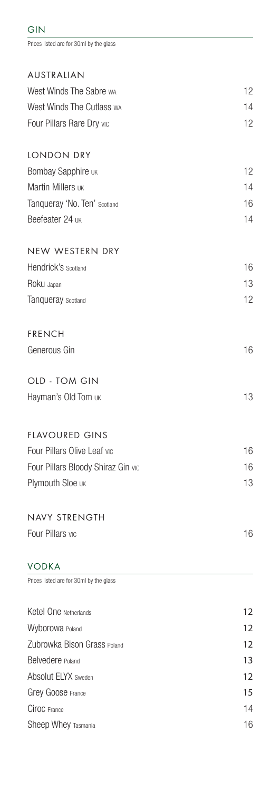| Prices listed are for 30ml by the glass |    |
|-----------------------------------------|----|
| AUSTRALIAN                              |    |
| West Winds The Sabre wa                 | 12 |
| West Winds The Cutlass wa               | 14 |
| Four Pillars Rare Dry vic               | 12 |
| LONDON DRY                              |    |
| Bombay Sapphire UK                      | 12 |
| Martin Millers UK                       | 14 |
| Tanqueray 'No. Ten' Scotland            | 16 |
| Beefeater 24 UK                         | 14 |
| NEW WESTERN DRY                         |    |
| Hendrick's scotland                     | 16 |
| Roku Japan                              | 13 |
| Tanqueray Scotland                      | 12 |
| <b>FRENCH</b>                           |    |
| Generous Gin                            | 16 |
| OLD - TOM GIN                           |    |
| Hayman's Old Tom UK                     | 13 |
| <b>FLAVOURED GINS</b>                   |    |
| Four Pillars Olive Leaf vic             | 16 |
| Four Pillars Bloody Shiraz Gin vic      | 16 |
| Plymouth Sloe UK                        | 13 |
| NAVY STRENGTH                           |    |
| Four Pillars vic                        | 16 |
| <b>VODKA</b>                            |    |
| Prices listed are for 30ml by the glass |    |
| Ketel One Netherlands                   | 12 |
| Wyborowa Poland                         | 12 |
| Zubrowka Bison Grass Poland             | 12 |
| Belvedere Poland                        | 13 |
| Absolut ELYX Sweden                     | 12 |
| Grey Goose France                       | 15 |
| Ciroc France                            | 14 |
| Sheep Whey Tasmania                     | 16 |

GIN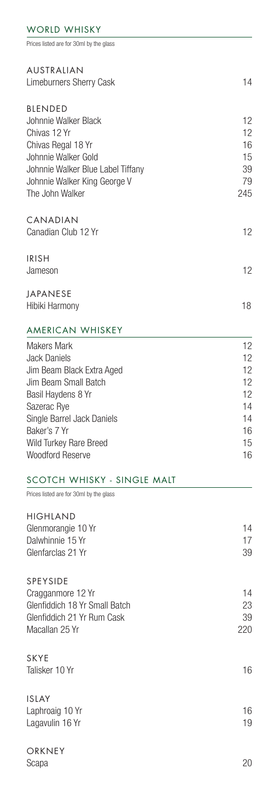# WORLD WHISKY

Prices listed are for 30ml by the glass

| AUSTRALIAN<br>Limeburners Sherry Cask                                                                                                                                                                                                  | 14                                                       |
|----------------------------------------------------------------------------------------------------------------------------------------------------------------------------------------------------------------------------------------|----------------------------------------------------------|
| <b>BLENDED</b><br>Johnnie Walker Black<br>Chivas 12 Yr<br>Chivas Regal 18 Yr<br>Johnnie Walker Gold<br>Johnnie Walker Blue Label Tiffany<br>Johnnie Walker King George V<br>The John Walker                                            | 12<br>12<br>16<br>15<br>39<br>79<br>245                  |
| CANADIAN<br>Canadian Club 12 Yr                                                                                                                                                                                                        | 12                                                       |
| <b>IRISH</b><br>Jameson                                                                                                                                                                                                                | 12                                                       |
| JAPANESE<br>Hibiki Harmony                                                                                                                                                                                                             | 18                                                       |
| AMERICAN WHISKEY                                                                                                                                                                                                                       |                                                          |
| <b>Makers Mark</b><br><b>Jack Daniels</b><br>Jim Beam Black Extra Aged<br>Jim Beam Small Batch<br>Basil Haydens 8 Yr<br>Sazerac Rye<br>Single Barrel Jack Daniels<br>Baker's 7 Yr<br>Wild Turkey Rare Breed<br><b>Woodford Reserve</b> | 12<br>12<br>12<br>12<br>12<br>14<br>14<br>16<br>15<br>16 |
| SCOTCH WHISKY - SINGLE MALT                                                                                                                                                                                                            |                                                          |
| Prices listed are for 30ml by the glass                                                                                                                                                                                                |                                                          |
| <b>HIGHLAND</b><br>Glenmorangie 10 Yr<br>Dalwhinnie 15 Yr<br>Glenfarclas 21 Yr                                                                                                                                                         | 14<br>17<br>39                                           |
| SPEYSIDE<br>Cragganmore 12 Yr<br>Glenfiddich 18 Yr Small Batch<br>Glenfiddich 21 Yr Rum Cask<br>Macallan 25 Yr                                                                                                                         | 14<br>23<br>39<br>220                                    |
| <b>SKYE</b><br>Talisker 10 Yr                                                                                                                                                                                                          | 16                                                       |
| <b>ISLAY</b><br>Laphroaig 10 Yr<br>Lagavulin 16 Yr                                                                                                                                                                                     | 16<br>19                                                 |
| ORKNEY<br>Scapa                                                                                                                                                                                                                        | 20                                                       |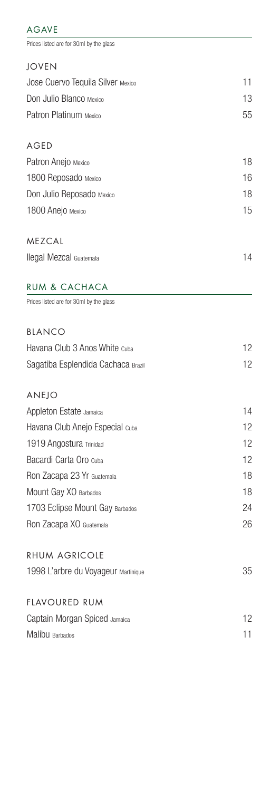# AGAVE

Prices listed are for 30ml by the glass

| <b>JOVEN</b>                      |    |
|-----------------------------------|----|
| Jose Cuervo Tequila Silver Mexico | 11 |
| Don Julio Blanco Mexico           | 13 |
| Patron Platinum Mexico            | 55 |
| AGED                              |    |
| Patron Anejo Mexico               | 18 |
| 1800 Reposado Mexico              | 16 |
| Don Julio Reposado Mexico         | 18 |
| 1800 Anejo Mexico                 | 15 |
| <b>MEZCAL</b>                     |    |
| Ilegal Mezcal Guatemala           | 14 |

# RUM & CACHACA

Prices listed are for 30ml by the glass

| BIANCO                              |    |
|-------------------------------------|----|
| Havana Club 3 Anos White Cuba       | 12 |
| Sagatiba Esplendida Cachaca Brazil  | 12 |
| <b>ANEJO</b>                        |    |
| Appleton Estate Jamaica             | 14 |
| Havana Club Anejo Especial cuba     | 12 |
| 1919 Angostura Trinidad             | 12 |
| Bacardi Carta Oro cuba              | 12 |
| Ron Zacapa 23 Yr Guatemala          | 18 |
| Mount Gay XO Barbados               | 18 |
| 1703 Eclipse Mount Gay Barbados     | 24 |
| Ron Zacapa XO Guatemala             | 26 |
| <b>RHUM AGRICOLE</b>                |    |
| 1998 L'arbre du Voyageur Martinique | 35 |
| <b>FLAVOURED RUM</b>                |    |
| Captain Morgan Spiced Jamaica       | 12 |
| Malibu Barbados                     | 11 |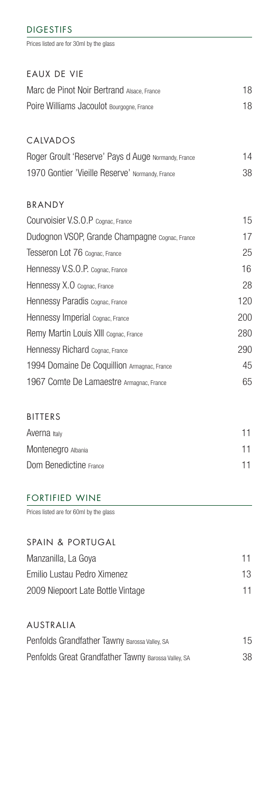#### DIGESTIFS

Prices listed are for 30ml by the glass

# EAUX DE VIE

| Marc de Pinot Noir Bertrand Alsace, France | 18 |
|--------------------------------------------|----|
| Poire Williams Jacoulot Bourgogne, France  | 18 |

# CALVADOS

| Roger Groult 'Reserve' Pays d Auge Normandy, France | 14 |
|-----------------------------------------------------|----|
| 1970 Gontier 'Vieille Reserve' Normandy, France     | 38 |

# BRANDY

| Courvoisier V.S.O.P Cognac, France             | 15  |
|------------------------------------------------|-----|
| Dudognon VSOP, Grande Champagne Cognac, France | 17  |
| Tesseron Lot 76 Cognac, France                 | 25  |
| Hennessy V.S.O.P. Cognac, France               | 16  |
| Hennessy X.O Cognac, France                    | 28  |
| Hennessy Paradis Cognac, France                | 120 |
| Hennessy Imperial Cognac, France               | 200 |
| Remy Martin Louis XIII Cognac, France          | 280 |
| Hennessy Richard Cognac, France                | 290 |
| 1994 Domaine De Coquillion Armagnac, France    | 45  |
| 1967 Comte De Lamaestre Armagnac, France       | 65  |

## BITTERS

| Averna Italy           | 11 |
|------------------------|----|
| Montenegro Albania     | 11 |
| Dom Benedictine France | 11 |

#### FORTIFIED WINE

Prices listed are for 60ml by the glass

| SPAIN & PORTUGAL                  |    |
|-----------------------------------|----|
| Manzanilla, La Goya               | 11 |
| Emilio Lustau Pedro Ximenez       | 13 |
| 2009 Niepoort Late Bottle Vintage | 11 |
|                                   |    |

AUSTRALIA Penfolds Grandfather Tawny Barossa Valley, SA 15 Penfolds Great Grandfather Tawny Barossa Valley, SA 38